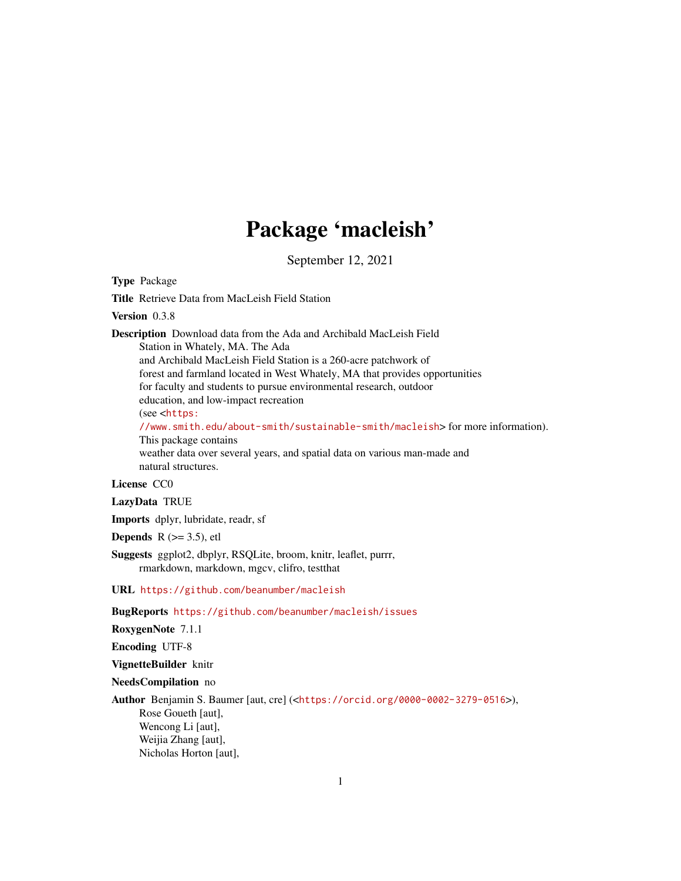## Package 'macleish'

September 12, 2021

<span id="page-0-0"></span>Type Package

Title Retrieve Data from MacLeish Field Station

Version 0.3.8

Description Download data from the Ada and Archibald MacLeish Field Station in Whately, MA. The Ada and Archibald MacLeish Field Station is a 260-acre patchwork of forest and farmland located in West Whately, MA that provides opportunities for faculty and students to pursue environmental research, outdoor education, and low-impact recreation (see <[https:](https://www.smith.edu/about-smith/sustainable-smith/macleish) [//www.smith.edu/about-smith/sustainable-smith/macleish](https://www.smith.edu/about-smith/sustainable-smith/macleish)> for more information). This package contains weather data over several years, and spatial data on various man-made and natural structures.

#### License CC0

LazyData TRUE

Imports dplyr, lubridate, readr, sf

**Depends** R  $(>= 3.5)$ , etl

- Suggests ggplot2, dbplyr, RSQLite, broom, knitr, leaflet, purrr, rmarkdown, markdown, mgcv, clifro, testthat
- URL <https://github.com/beanumber/macleish>

BugReports <https://github.com/beanumber/macleish/issues>

RoxygenNote 7.1.1

Encoding UTF-8

VignetteBuilder knitr

NeedsCompilation no

Author Benjamin S. Baumer [aut, cre] (<<https://orcid.org/0000-0002-3279-0516>>), Rose Goueth [aut], Wencong Li [aut], Weijia Zhang [aut], Nicholas Horton [aut],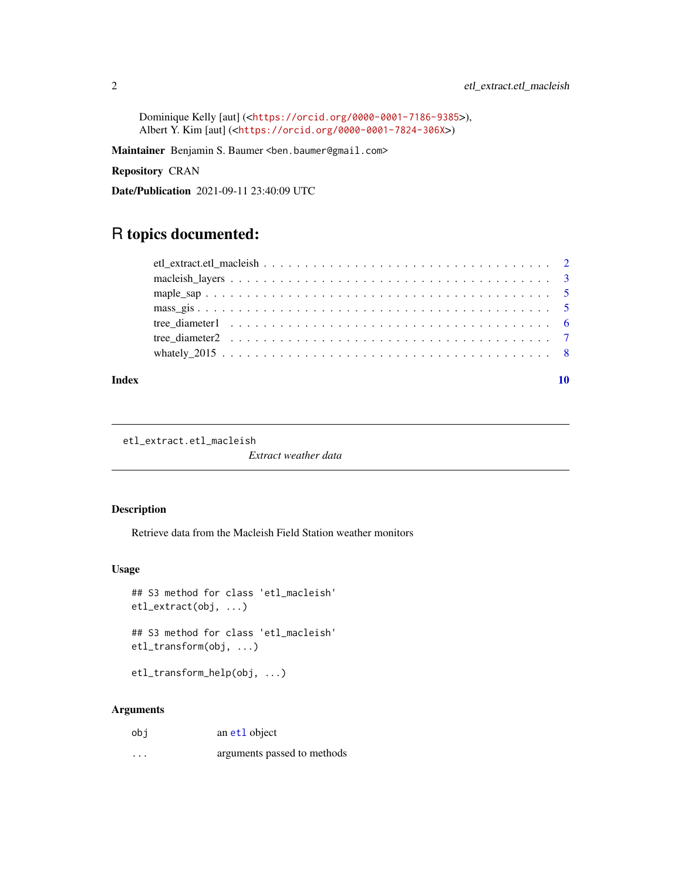<span id="page-1-0"></span>Dominique Kelly [aut] (<<https://orcid.org/0000-0001-7186-9385>>), Albert Y. Kim [aut] (<<https://orcid.org/0000-0001-7824-306X>>)

Maintainer Benjamin S. Baumer <ben.baumer@gmail.com>

Repository CRAN

Date/Publication 2021-09-11 23:40:09 UTC

### R topics documented:

#### $\blacksquare$

etl\_extract.etl\_macleish

*Extract weather data*

#### Description

Retrieve data from the Macleish Field Station weather monitors

#### Usage

```
## S3 method for class 'etl_macleish'
etl_extract(obj, ...)
```

```
## S3 method for class 'etl_macleish'
etl_transform(obj, ...)
```
etl\_transform\_help(obj, ...)

#### Arguments

| obi | an et1 object               |
|-----|-----------------------------|
| .   | arguments passed to methods |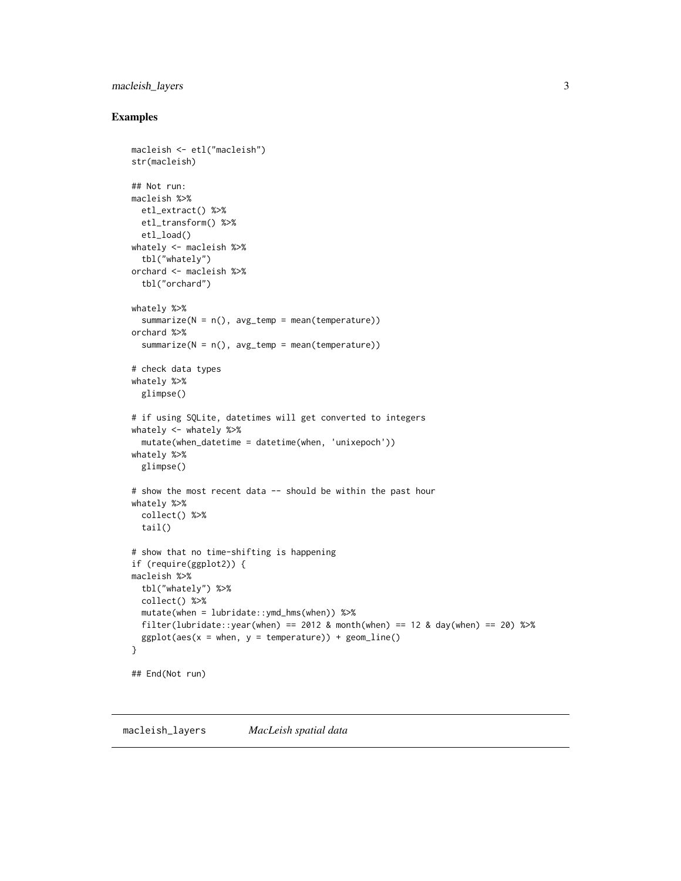#### <span id="page-2-0"></span>macleish\_layers 3

#### Examples

```
macleish <- etl("macleish")
str(macleish)
## Not run:
macleish %>%
  etl_extract() %>%
  etl_transform() %>%
  etl_load()
whately <- macleish %>%
  tbl("whately")
orchard <- macleish %>%
 tbl("orchard")
whately %>%
  summarize(N = n(), avg_temp = mean(temperature))
orchard %>%
  summarize(N = n(), avg_temp = mean(temperature))
# check data types
whately %>%
  glimpse()
# if using SQLite, datetimes will get converted to integers
whately <- whately %>%
  mutate(when_datetime = datetime(when, 'unixepoch'))
whately %>%
  glimpse()
# show the most recent data -- should be within the past hour
whately %>%
  collect() %>%
  tail()
# show that no time-shifting is happening
if (require(ggplot2)) {
macleish %>%
  tbl("whately") %>%
  collect() %>%
  mutate(when = lubridate::ymd_hms(when)) %>%
  filter(lubridate::year(when) == 2012 & month(when) == 12 & day(when) == 20) %>%
  ggplot(aes(x = when, y = temperature)) + geom\_line()}
## End(Not run)
```
macleish\_layers *MacLeish spatial data*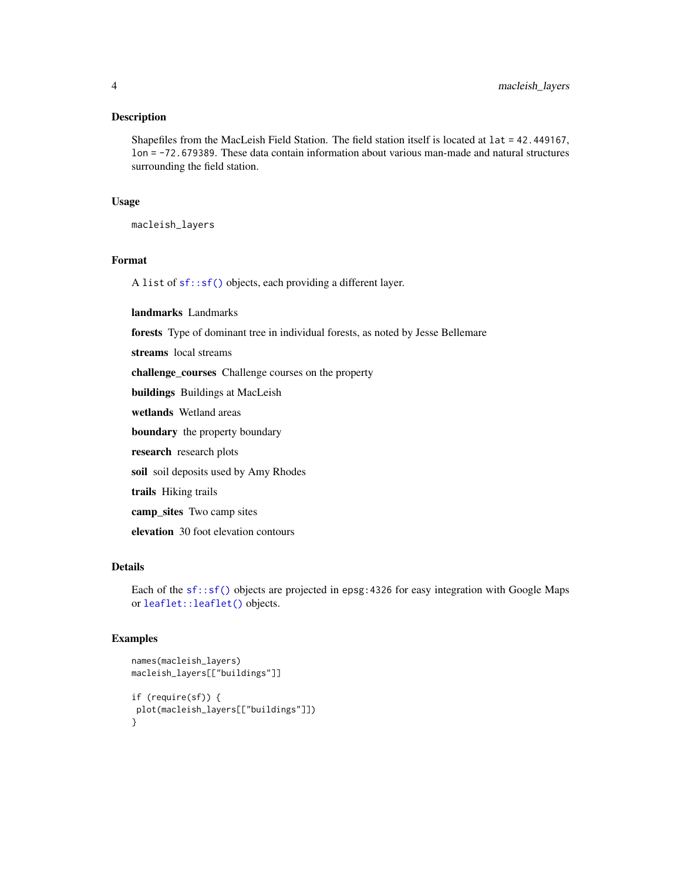#### <span id="page-3-0"></span>Description

Shapefiles from the MacLeish Field Station. The field station itself is located at lat = 42.449167, lon = -72.679389. These data contain information about various man-made and natural structures surrounding the field station.

#### Usage

macleish\_layers

#### Format

A list of [sf::sf\(\)](#page-0-0) objects, each providing a different layer.

landmarks Landmarks

forests Type of dominant tree in individual forests, as noted by Jesse Bellemare

streams local streams

challenge\_courses Challenge courses on the property

buildings Buildings at MacLeish

wetlands Wetland areas

boundary the property boundary

research research plots

soil soil deposits used by Amy Rhodes

trails Hiking trails

camp\_sites Two camp sites

elevation 30 foot elevation contours

#### Details

Each of the [sf::sf\(\)](#page-0-0) objects are projected in epsg:4326 for easy integration with Google Maps or [leaflet::leaflet\(\)](#page-0-0) objects.

#### Examples

```
names(macleish_layers)
macleish_layers[["buildings"]]
if (require(sf)) {
plot(macleish_layers[["buildings"]])
}
```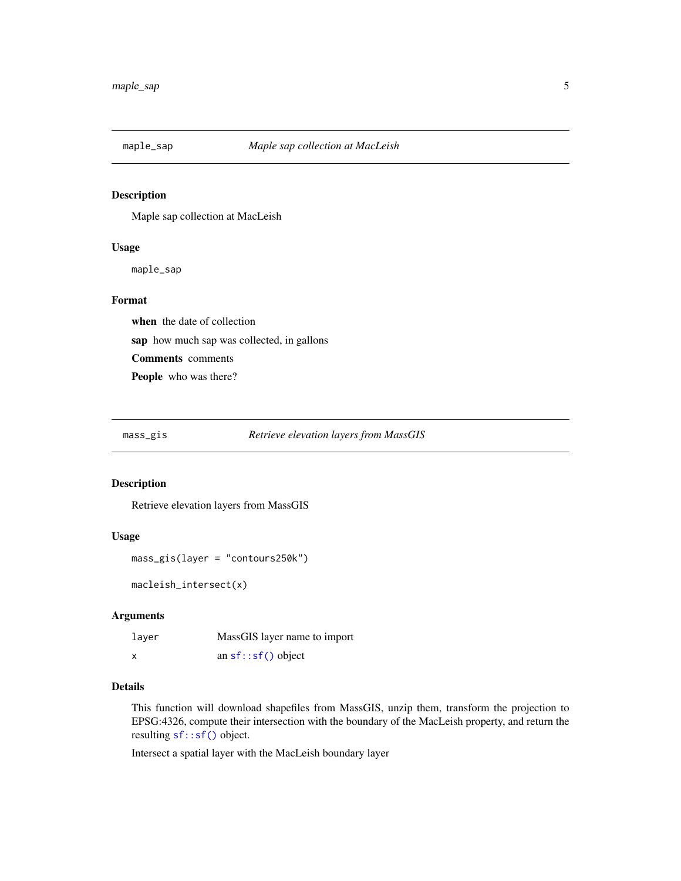<span id="page-4-0"></span>

#### Description

Maple sap collection at MacLeish

#### Usage

maple\_sap

#### Format

when the date of collection sap how much sap was collected, in gallons Comments comments People who was there?

#### mass\_gis *Retrieve elevation layers from MassGIS*

#### Description

Retrieve elevation layers from MassGIS

#### Usage

```
mass_gis(layer = "contours250k")
```
macleish\_intersect(x)

#### Arguments

| laver | MassGIS layer name to import |
|-------|------------------------------|
| X     | an $sf::sf()$ object         |

#### Details

This function will download shapefiles from MassGIS, unzip them, transform the projection to EPSG:4326, compute their intersection with the boundary of the MacLeish property, and return the resulting [sf::sf\(\)](#page-0-0) object.

Intersect a spatial layer with the MacLeish boundary layer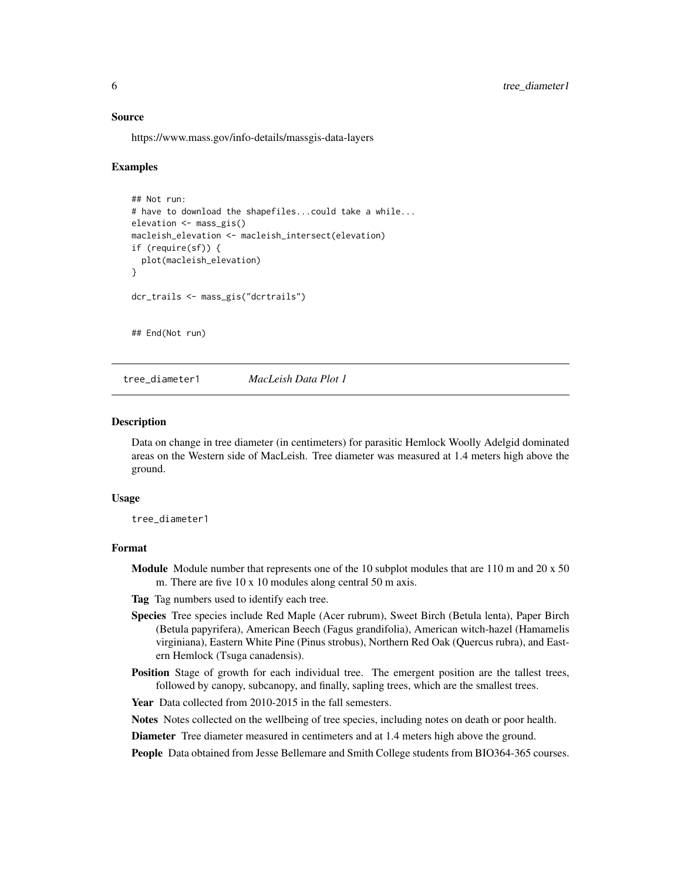#### <span id="page-5-0"></span>Source

https://www.mass.gov/info-details/massgis-data-layers

#### Examples

```
## Not run:
# have to download the shapefiles...could take a while...
elevation <- mass_gis()
macleish_elevation <- macleish_intersect(elevation)
if (require(sf)) {
 plot(macleish_elevation)
}
dcr_trails <- mass_gis("dcrtrails")
## End(Not run)
```
<span id="page-5-1"></span>tree\_diameter1 *MacLeish Data Plot 1*

#### Description

Data on change in tree diameter (in centimeters) for parasitic Hemlock Woolly Adelgid dominated areas on the Western side of MacLeish. Tree diameter was measured at 1.4 meters high above the ground.

#### Usage

tree\_diameter1

#### Format

- **Module** Module number that represents one of the 10 subplot modules that are  $110$  m and  $20 \times 50$ m. There are five 10 x 10 modules along central 50 m axis.
- Tag Tag numbers used to identify each tree.
- Species Tree species include Red Maple (Acer rubrum), Sweet Birch (Betula lenta), Paper Birch (Betula papyrifera), American Beech (Fagus grandifolia), American witch-hazel (Hamamelis virginiana), Eastern White Pine (Pinus strobus), Northern Red Oak (Quercus rubra), and Eastern Hemlock (Tsuga canadensis).
- Position Stage of growth for each individual tree. The emergent position are the tallest trees, followed by canopy, subcanopy, and finally, sapling trees, which are the smallest trees.

Year Data collected from 2010-2015 in the fall semesters.

Notes Notes collected on the wellbeing of tree species, including notes on death or poor health.

Diameter Tree diameter measured in centimeters and at 1.4 meters high above the ground.

People Data obtained from Jesse Bellemare and Smith College students from BIO364-365 courses.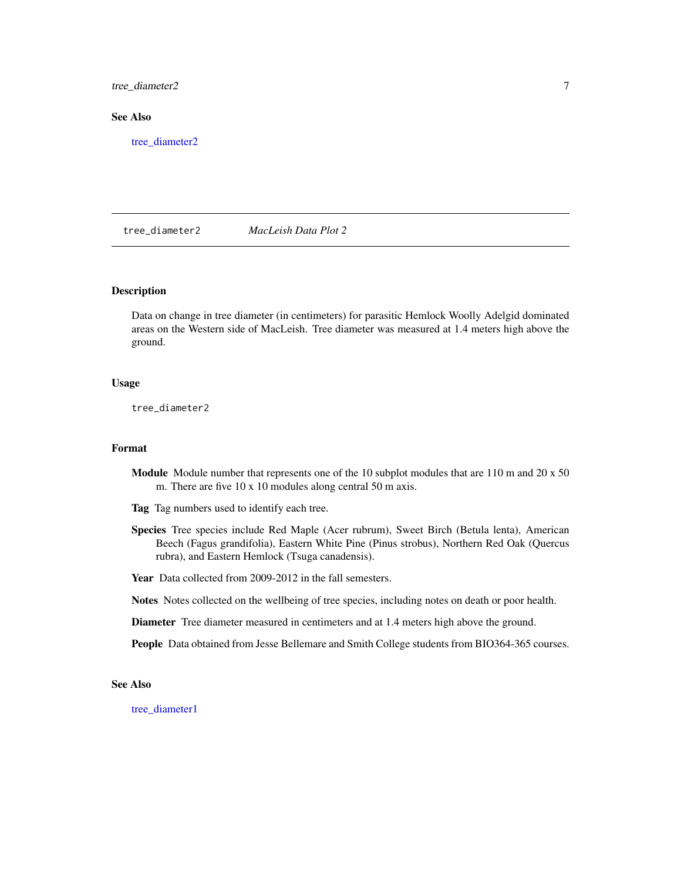<span id="page-6-0"></span>tree\_diameter2 7

#### See Also

[tree\\_diameter2](#page-6-1)

<span id="page-6-1"></span>tree\_diameter2 *MacLeish Data Plot 2*

#### Description

Data on change in tree diameter (in centimeters) for parasitic Hemlock Woolly Adelgid dominated areas on the Western side of MacLeish. Tree diameter was measured at 1.4 meters high above the ground.

#### Usage

tree\_diameter2

#### Format

**Module** Module number that represents one of the 10 subplot modules that are  $110$  m and  $20 \times 50$ m. There are five 10 x 10 modules along central 50 m axis.

Tag Tag numbers used to identify each tree.

Species Tree species include Red Maple (Acer rubrum), Sweet Birch (Betula lenta), American Beech (Fagus grandifolia), Eastern White Pine (Pinus strobus), Northern Red Oak (Quercus rubra), and Eastern Hemlock (Tsuga canadensis).

Year Data collected from 2009-2012 in the fall semesters.

Notes Notes collected on the wellbeing of tree species, including notes on death or poor health.

Diameter Tree diameter measured in centimeters and at 1.4 meters high above the ground.

People Data obtained from Jesse Bellemare and Smith College students from BIO364-365 courses.

#### See Also

[tree\\_diameter1](#page-5-1)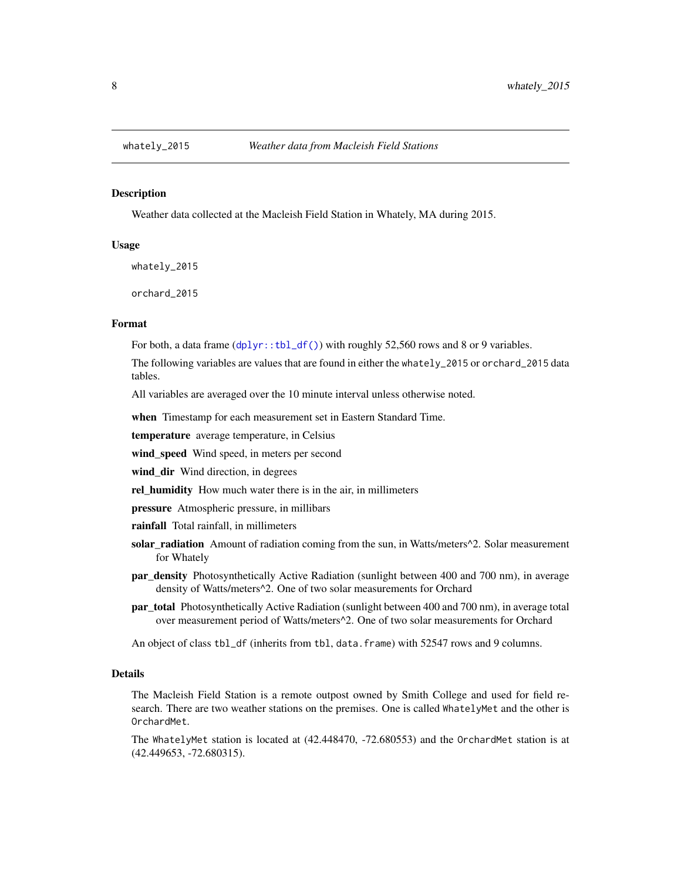<span id="page-7-0"></span>

#### Description

Weather data collected at the Macleish Field Station in Whately, MA during 2015.

#### Usage

whately\_2015

orchard\_2015

#### Format

For both, a data frame  $(dplyr::tbl_df())$  $(dplyr::tbl_df())$  $(dplyr::tbl_df())$  with roughly 52,560 rows and 8 or 9 variables.

The following variables are values that are found in either the whately\_2015 or orchard\_2015 data tables.

All variables are averaged over the 10 minute interval unless otherwise noted.

when Timestamp for each measurement set in Eastern Standard Time.

temperature average temperature, in Celsius

wind\_speed Wind speed, in meters per second

wind\_dir Wind direction, in degrees

rel\_humidity How much water there is in the air, in millimeters

pressure Atmospheric pressure, in millibars

rainfall Total rainfall, in millimeters

- solar\_radiation Amount of radiation coming from the sun, in Watts/meters^2. Solar measurement for Whately
- par\_density Photosynthetically Active Radiation (sunlight between 400 and 700 nm), in average density of Watts/meters^2. One of two solar measurements for Orchard
- **par\_total** Photosynthetically Active Radiation (sunlight between 400 and 700 nm), in average total over measurement period of Watts/meters^2. One of two solar measurements for Orchard

An object of class tbl\_df (inherits from tbl, data.frame) with 52547 rows and 9 columns.

#### Details

The Macleish Field Station is a remote outpost owned by Smith College and used for field research. There are two weather stations on the premises. One is called WhatelyMet and the other is OrchardMet.

The WhatelyMet station is located at (42.448470, -72.680553) and the OrchardMet station is at (42.449653, -72.680315).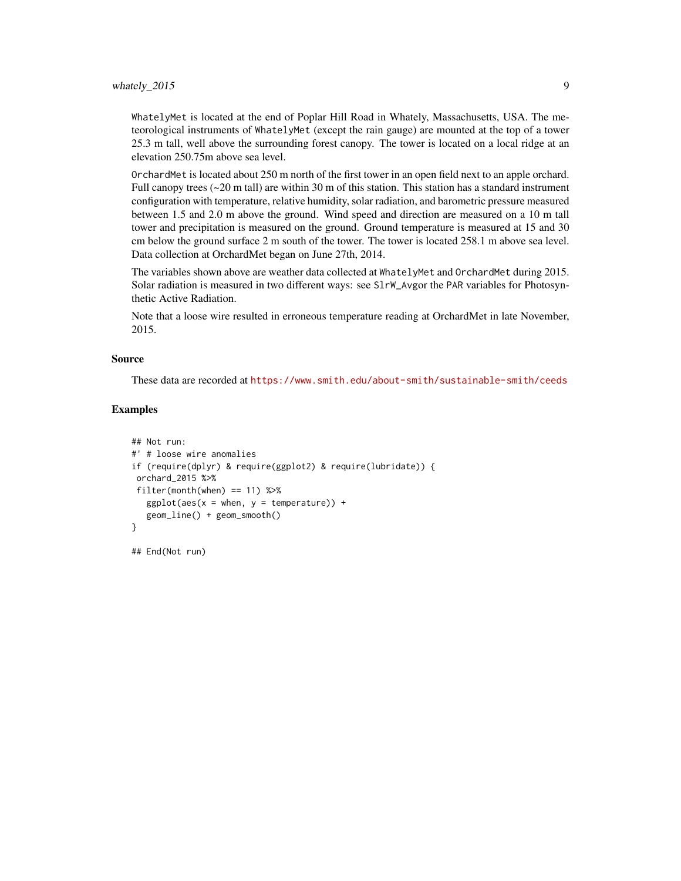WhatelyMet is located at the end of Poplar Hill Road in Whately, Massachusetts, USA. The meteorological instruments of WhatelyMet (except the rain gauge) are mounted at the top of a tower 25.3 m tall, well above the surrounding forest canopy. The tower is located on a local ridge at an elevation 250.75m above sea level.

OrchardMet is located about 250 m north of the first tower in an open field next to an apple orchard. Full canopy trees  $\left(\sim 20 \text{ m} \text{ tall}\right)$  are within 30 m of this station. This station has a standard instrument configuration with temperature, relative humidity, solar radiation, and barometric pressure measured between 1.5 and 2.0 m above the ground. Wind speed and direction are measured on a 10 m tall tower and precipitation is measured on the ground. Ground temperature is measured at 15 and 30 cm below the ground surface 2 m south of the tower. The tower is located 258.1 m above sea level. Data collection at OrchardMet began on June 27th, 2014.

The variables shown above are weather data collected at WhatelyMet and OrchardMet during 2015. Solar radiation is measured in two different ways: see SlrW\_Avgor the PAR variables for Photosynthetic Active Radiation.

Note that a loose wire resulted in erroneous temperature reading at OrchardMet in late November, 2015.

#### Source

These data are recorded at <https://www.smith.edu/about-smith/sustainable-smith/ceeds>

#### Examples

```
## Not run:
#' # loose wire anomalies
if (require(dplyr) & require(ggplot2) & require(lubridate)) {
orchard_2015 %>%
filter(month(when) == 11) %ggplot(aes(x = when, y = temperature)) +geom_line() + geom_smooth()
}
```
## End(Not run)